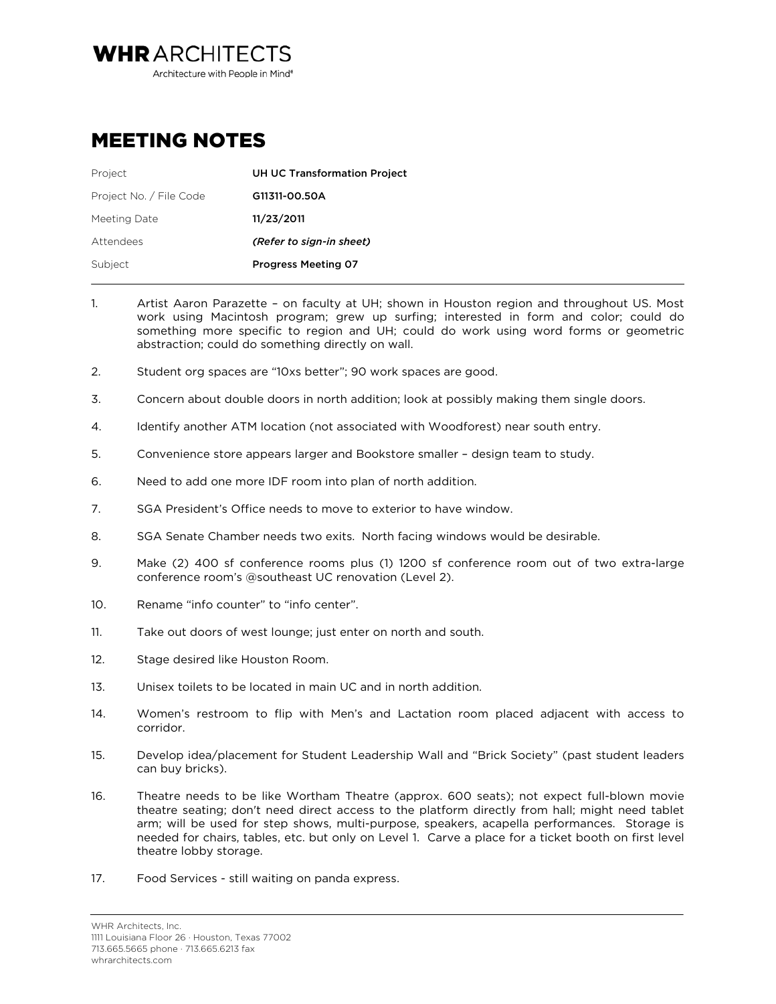**WHRARCHITECTS** Architecture with People in Mind<sup>®</sup>

## MEETING NOTES

| Project                 | <b>UH UC Transformation Project</b> |
|-------------------------|-------------------------------------|
| Project No. / File Code | G11311-00.50A                       |
| Meeting Date            | 11/23/2011                          |
| Attendees               | (Refer to sign-in sheet)            |
| Subject                 | <b>Progress Meeting 07</b>          |
|                         |                                     |

- 1. Artist Aaron Parazette on faculty at UH; shown in Houston region and throughout US. Most work using Macintosh program; grew up surfing; interested in form and color; could do something more specific to region and UH; could do work using word forms or geometric abstraction; could do something directly on wall.
- 2. Student org spaces are "10xs better"; 90 work spaces are good.
- 3. Concern about double doors in north addition; look at possibly making them single doors.
- 4. Identify another ATM location (not associated with Woodforest) near south entry.
- 5. Convenience store appears larger and Bookstore smaller design team to study.
- 6. Need to add one more IDF room into plan of north addition.
- 7. SGA President's Office needs to move to exterior to have window.
- 8. SGA Senate Chamber needs two exits. North facing windows would be desirable.
- 9. Make (2) 400 sf conference rooms plus (1) 1200 sf conference room out of two extra-large conference room's @southeast UC renovation (Level 2).
- 10. Rename "info counter" to "info center".
- 11. Take out doors of west lounge; just enter on north and south.
- 12. Stage desired like Houston Room.
- 13. Unisex toilets to be located in main UC and in north addition.
- 14. Women's restroom to flip with Men's and Lactation room placed adjacent with access to corridor.
- 15. Develop idea/placement for Student Leadership Wall and "Brick Society" (past student leaders can buy bricks).
- 16. Theatre needs to be like Wortham Theatre (approx. 600 seats); not expect full-blown movie theatre seating; don't need direct access to the platform directly from hall; might need tablet arm; will be used for step shows, multi-purpose, speakers, acapella performances. Storage is needed for chairs, tables, etc. but only on Level 1. Carve a place for a ticket booth on first level theatre lobby storage.
- 17. Food Services still waiting on panda express.